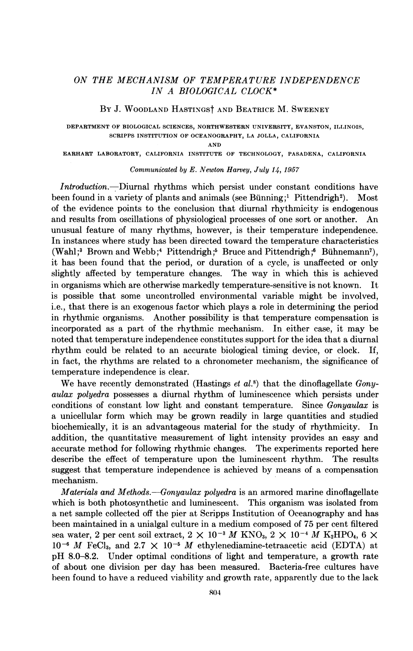# ON THE MECHANISM OF TEMPERATURE INDEPENDENCE IN A BIOLOGICAL CLOCK\*

## BY J. WOODLAND HASTINGS<sup>†</sup> AND BEATRICE M. SWEENEY

## DEPARTMENT OF BIOLOGICAL SCIENCES, NORTHWESTERN UNIVERSITY, EVANSTON, ILLINOIS, SCRIPPS INSTITUTION OF OCEANOGRAPHY, LA JOLLA, CALIFORNIA

AND

EARHART LABORATORY, CALIFORNIA INSTITUTE OF TECHNOLOGY, PASADENA, CALIFORNIA

Communicated by E. Newton Harvey, July 14, 1957

Introduction.-Diurnal rhythms which persist under constant conditions have been found in a variety of plants and animals (see Bünning;<sup>1</sup> Pittendrigh<sup>2</sup>). Most of the evidence points to the conclusion that diurnal rhythmicity is endogenous and results from oscillations of physiological processes of one sort or another. An unusual feature of many rhythms, however, is their temperature independence. In instances where study has been directed toward the temperature characteristics (Wahl;<sup>3</sup> Brown and Webb;<sup>4</sup> Pittendrigh;<sup>5</sup> Bruce and Pittendrigh;<sup>6</sup> Bühnemann<sup>7</sup>), it has been found that the period, or duration of a cycle, is unaffected or only slightly affected by temperature changes. The way in which this is achieved in organisms which are otherwise markedly temperature-sensitive is not known. It is possible that some uncontrolled environmental variable might be involved, i.e., that there is an exogenous factor which plays a role in determining the period in rhythmic organisms. Another possibility is that temperature compensation is incorporated as a part of the rhythmic mechanism. In either case, it may be noted that temperature independence constitutes support for the idea that a diurnal rhythm could be related to an accurate biological timing device, or clock. If, in fact, the rhythms are related to a chronometer mechanism, the significance of temperature independence is clear.

We have recently demonstrated (Hastings et  $al.^s$ ) that the dinoflagellate  $Gony$ aulax polyedra possesses a diurnal rhythm of luminescence which persists under conditions of constant low light and constant temperature. Since Gonyaulax is a unicellular form which may be grown readily in large quantities and studied biochemically, it is an advantageous material for the study of rhythmicity. In addition, the quantitative measurement of light intensity provides an easy and accurate method for following rhythmic changes. The experiments reported here describe the effect of temperature upon the luminescent rhythm. The results suggest that temperature independence is achieved by means of a compensation mechanism.

Materials and Methods.—Gonyaulax polyedra is an armored marine dinoflagellate which is both photosynthetic and luminescent. This organism was isolated from a net sample collected off the pier at Scripps Institution of Oceanography and has been maintained in a unialgal culture in a medium composed of 75 per cent filtered sea water, 2 per cent soil extract,  $2 \times 10^{-3} M$  KNO<sub>3</sub>,  $2 \times 10^{-4} M$  K<sub>2</sub>HPO<sub>4</sub>,  $6 \times$  $10^{-6}$  M FeCl<sub>3</sub>, and  $2.7 \times 10^{-5}$  M ethylenediamine-tetraacetic acid (EDTA) at pH 8.0-8.2. Under optimal conditions of light and temperature, <sup>a</sup> growth rate of about one division per day has been measured. Bacteria-free cultures have been found to have a reduced viability and growth rate, apparently due to the lack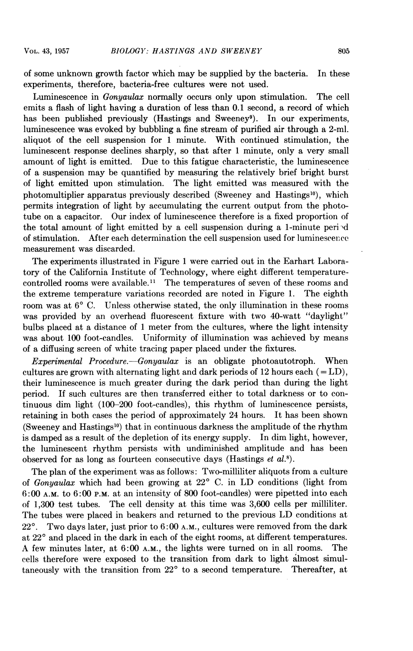of some unknown growth factor which may be supplied by the bacteria. In these experiments, therefore, bacteria-free cultures were not used.

Luminescence in Gonyaulax normally occurs only upon stimulation. The cell emits a flash of light having a duration of less than 0.1 second, a record of which has been published previously (Hastings and Sweeney<sup>9</sup>). In our experiments, luminescence was evoked by bubbling a fine stream of purified air through a 2-ml. aliquot of the cell suspension for <sup>1</sup> minute. With continued stimulation, the luminescent response declines sharply, so that after <sup>1</sup> minute, only a very small amount of light is emitted. Due to this fatigue characteristic, the luminescence of a suspension may be quantified by measuring the relatively brief bright burst of light emitted upon stimulation. The light emitted was measured with the photomultiplier apparatus previously described (Sweeney and Hastings<sup>10</sup>), which permits integration of light by accumulating the current output from the phototube on a capacitor. Our index of luminescence therefore is a fixed proportion of the total amount of light emitted by a cell suspension during a 1-minute period of stimulation. After each determination the cell suspension used for luminescence measurement was discarded.

The experiments illustrated in Figure <sup>1</sup> were carried out in the Earhart Laboratory of the California Institute of Technology, where eight different temperaturecontrolled rooms were available.'1 The temperatures of seven of these rooms and the extreme temperature variations recorded are noted in Figure 1. The eighth room was at 6° C. Unless otherwise stated, the only illumination in these rooms was provided by an overhead fluorescent fixture with two 40-watt "daylight" bulbs placed at a distance of <sup>1</sup> meter from the cultures, where the light intensity was about 100 foot-candles. Uniformity of illumination was achieved by means of a diffusing screen of white tracing paper placed under the fixtures.

Experimental Procedure.—Gonyaulax is an obligate photoautotroph. When cultures are grown with alternating light and dark periods of 12 hours each  $(=LD)$ , their luminescence is much greater during the dark period than during the light period. If such cultures are then transferred either to total darkness or to continuous dim light (100-200 foot-candles), this rhythm of luminescence persists, retaining in both cases the period of approximately 24 hours. It has been shown (Sweeney and Hastings'0) that in continuous darkness the amplitude of the rhythm is damped as a result of the depletion of its energy supply. In dim light, however, the luminescent rhythm persists with undiminished amplitude and has been observed for as long as fourteen consecutive days (Hastings  $et al.^s$ ).

The plan of the experiment was as follows: Two-milliliter aliquots from a culture of Gonyaulax which had been growing at  $22^{\circ}$  C. in LD conditions (light from 6:00 A.M. to 6:00 P.M. at an intensity of 800 foot-candles) were pipetted into each of 1,300 test tubes. The cell density at this time was 3,600 cells per milliliter. The tubes were placed in beakers and returned to the previous LD conditions at 22 $^{\circ}$ . Two days later, just prior to 6:00 A.M., cultures were removed from the dark at  $22^{\circ}$  and placed in the dark in each of the eight rooms, at different temperatures. A few minutes later, at 6:00 A.M., the lights were turned on in all rooms. The cells therefore were exposed to the transition from dark to light almost simultaneously with the transition from  $22^{\circ}$  to a second temperature. Thereafter, at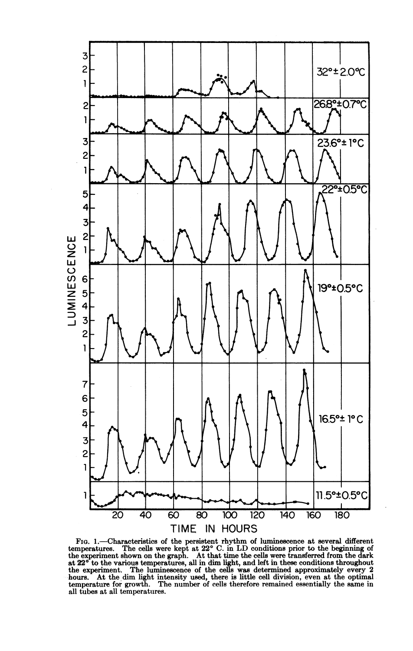

Fro. 1.—Characteristics of the persistent rhythm of luminescence at several different temperatures. The cells were kept at  $22^{\circ}$  C. in LD conditions prior to the beginning of the experiment shown on the graph. At that temperature for growth. The number of cells therefore remained essentially the same in all tubes at all temperatures.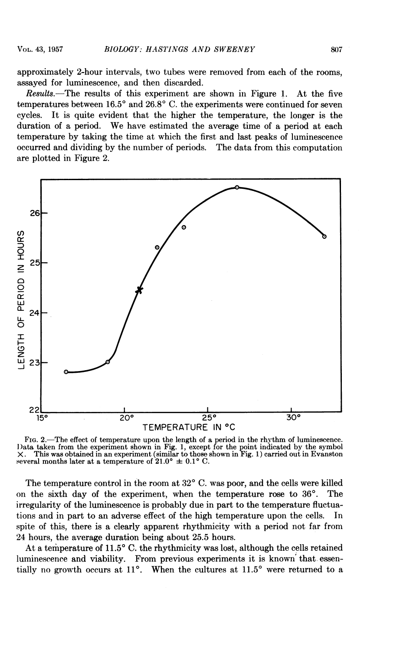approximately 2-hour intervals, two tubes were removed from each of the rooms, assayed for luminescence, and then discarded.

Results.—The results of this experiment are shown in Figure 1. At the five temperatures between 16.5° and 26.8° C. the experiments were continued for seven cycles. It is quite evident that the higher the temperature, the longer is the duration of <sup>a</sup> period. We have estimated the average time of <sup>a</sup> period at each temperature by taking the time at which the first and last peaks of luminescence occurred and dividing by the number of periods. The data from this computation are plotted in Figure 2.



FIG. 2.—The effect of temperature upon the length of a period in the rhythm of luminescence.<br>Data taken from the experiment shown in Fig. 1, except for the point indicated by the symbol  $\times$ . This was obtained in an exper several months later at a temperature of  $21.0^{\circ} \pm 0.1^{\circ}$  C.

The temperature control in the room at 32° C. was poor, and the cells were killed on the sixth day of the experiment, when the temperature rose to  $36^{\circ}$ . The irregularity of the luminescence is probably due in part to the temperature fluctuations and in part to an adverse effect of the high temperature upon the cells. In spite of this, there is a clearly apparent rhythmicity with a period not far from 24 hours, the average duration being about 25.5 hours.

At a temperature of 11.5° C. the rhythmicity was lost, although the cells retained luminescence and viability. From previous experiments it is known that essentially no growth occurs at  $11^{\circ}$ . When the cultures at  $11.5^{\circ}$  were returned to a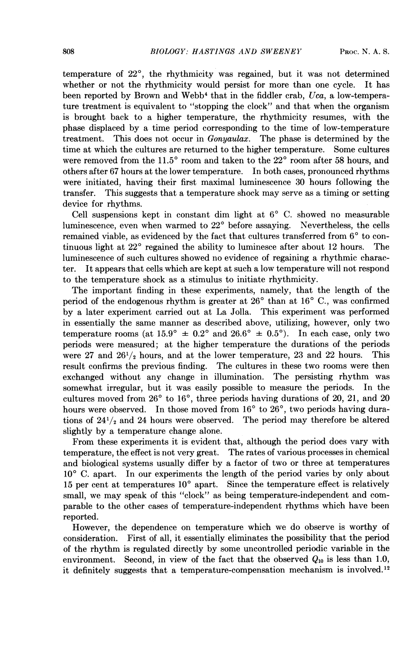temperature of 22°, the rhythmicity was regained, but it was not determined whether or not the rhythmicity would persist for more than one cycle. It has been reported by Brown and Webb<sup>4</sup> that in the fiddler crab,  $Uca$ , a low-temperature treatment is equivalent to "stopping the clock" and that when the organism is brought back to a higher temperature, the rhythmicity resumes, with the phase displaced by a time period corresponding to the time of low-temperature treatment. This does not occur in Gonyaulax. The phase is determined by the time at which the cultures are returned to the higher temperature. Some cultures were removed from the  $11.5^{\circ}$  room and taken to the  $22^{\circ}$  room after 58 hours, and others after 67 hours at the lower temperature. In both cases, pronounced rhythms were initiated, having their first maximal luminescence 30 hours following the transfer. This suggests that a temperature shock may serve as a timing or setting device for rhythms.

Cell suspensions kept in constant dim light at  $6^{\circ}$  C. showed no measurable luminescence, even when warmed to  $22^{\circ}$  before assaying. Nevertheless, the cells remained viable, as evidenced by the fact that cultures transferred from 6° to continuous light at  $22^{\circ}$  regained the ability to luminesce after about 12 hours. The luminescence of such cultures showed no evidence of regaining a rhythmic character. It appears that cells which are kept at such a low temperature will not respond to the temperature shock as a stimulus to initiate rhythmicity.

The important finding in these experiments, namely, that the length of the period of the endogenous rhythm is greater at  $26^{\circ}$  than at  $16^{\circ}$  C., was confirmed by a later experiment carried out at La Jolla. This experiment was performed in essentially the same manner as described above, utilizing, however, only two temperature rooms (at  $15.9^{\circ} \pm 0.2^{\circ}$  and  $26.6^{\circ} \pm 0.5^{\circ}$ ). In each case, only two periods were measured; at the higher temperature the durations of the periods were 27 and  $26^{1/2}$  hours, and at the lower temperature, 23 and 22 hours. This result confirms the previous finding. The cultures in these two rooms were then exchanged without any change in illumination. The persisting rhythm was somewhat irregular, but it was easily possible to measure the periods. In the cultures moved from  $26^{\circ}$  to  $16^{\circ}$ , three periods having durations of 20, 21, and 20 hours were observed. In those moved from  $16^{\circ}$  to  $26^{\circ}$ , two periods having durations of  $24<sup>1</sup>/2$  and 24 hours were observed. The period may therefore be altered slightly by a temperature change alone.

From these experiments it is evident that, although the period does vary with temperature, the effect is not very great. The rates of various processes in chemical and biological systems usually differ by a factor of two or three at temperatures  $10^{\circ}$  C. apart. In our experiments the length of the period varies by only about 15 per cent at temperatures  $10^{\circ}$  apart. Since the temperature effect is relatively small, we may speak of this "clock" as being temperature-independent and comparable to the other cases of temperature-independent rhythms which have been reported.

However, the dependence on temperature which we do observe is worthy of consideration. First of all, it essentially eliminates the possibility that the period of the rhythm is regulated directly by some uncontrolled periodic variable in the environment. Second, in view of the fact that the observed  $Q_{10}$  is less than 1.0, it definitely suggests that a temperature-compensation mechanism is involved.'2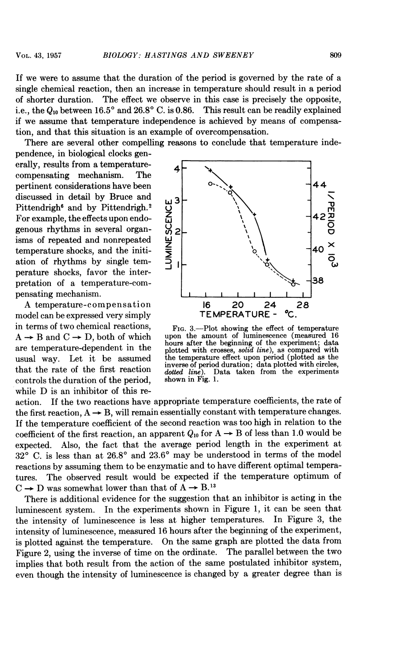If we were to assume that the duration of the period is governed by the rate of a single chemical reaction, then an increase in temperature should result in a period of shorter duration. The effect we observe in this case is precisely the opposite, i.e., the  $Q_{10}$  between 16.5° and 26.8° C. is 0.86. This result can be readily explained if we assume that temperature independence is achieved by means of compensation, and that this situation is an example of overcompensation.

There are several other compelling reasons to conclude that temperature independence, in biological clocks gen-

erally, results from a temperaturecompensating mechanism. The pertinent considerations have been discussed in detail by Bruce and Pittendrigh<sup>6</sup> and by Pittendrigh.<sup>2</sup> For example, the effects upon endogenous rhythms in several organisms of repeated and nonrepeated temperature shocks, and the initiation of rhythms by single temperature shocks, favor the interpretation of a temperature-compensating mechanism.

A temperature-compensation model can be expressed very simply in terms of two chemical reactions,  $A \rightarrow B$  and  $C \rightarrow D$ , both of which are temperature-dependent in the usual way. Let it be assumed that the rate of the first reaction controls the duration of the period, while D is an inhibitor of this re-



FIG. 3.-Plot showing the effect of temperature upon the amount of luminescence (measured 16 hours after the beginning of the experiment; data plotted with crosses, *solid line*), as compared with the temperature effect upon period (plotted as the inverse of period duration; data plotted with circles, dotted line). Data taken from the experiments shown in Fig. 1.

action. If the two reactions have appropriate temperature coefficients, the rate of the first reaction,  $A \rightarrow B$ , will remain essentially constant with temperature changes. If the temperature coefficient of the second reaction was too high in relation to the coefficient of the first reaction, an apparent  $Q_{10}$  for  $A \rightarrow B$  of less than 1.0 would be expected. Also, the fact that the average period length in the experiment at  $32^{\circ}$  C. is less than at  $26.8^{\circ}$  and  $23.6^{\circ}$  may be understood in terms of the model reactions by assuming them to be enzymatic and to have different optimal temperatures. The observed result would be expected if the temperature optimum of  $C \rightarrow D$  was somewhat lower than that of  $A \rightarrow B$ .<sup>13</sup>

There is additional evidence for the suggestion that an inhibitor is acting in the luminescent system. In the experiments shown in Figure 1, it can be seen that the intensity of luminescence is less at higher temperatures. In Figure 3, the intensity of luminescence, measured 16 hours after the beginning of the experiment, is plotted against the temperature. On the same graph are plotted the data from Figure 2, using the inverse of time on the ordinate. The parallel between the two implies that both result from the action of the same postulated inhibitor system, even though the intensity of luminescence is changed by a greater degree than is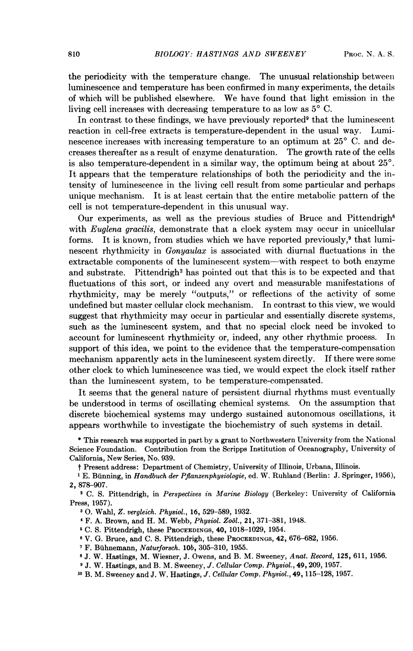the periodicity with the temperature change. The unusual relationship between luminescence and temperature has been confirmed in many experiments, the details of which will be published elsewhere. We have found that light emission in the living cell increases with decreasing temperature to as low as  $5^{\circ}$  C.

In contrast to these findings, we have previously reported9 that the luminescent reaction in cell-free extracts is temperature-dependent in the usual way. Luminescence increases with increasing temperature to an optimum at  $25^{\circ}$  C. and decreases thereafter as a result of enzyme denaturation. The growth rate of the cells is also temperature-dependent in a similar way, the optimum being at about  $25^{\circ}$ . It appears that the temperature relationships of both the periodicity and the intensity of luminescence in the living cell result from some particular and perhaps unique mechanism. It is at least certain that the entire metabolic pattern of the cell is not temperature-dependent in this unusual way.

Our experiments, as well as the previous studies of Bruce and Pittendrigh6 with *Euglena gracilis*, demonstrate that a clock system may occur in unicellular forms. It is known, from studies which we have reported previously, $9$  that luminescent rhythmicity in Gonyaulax is associated with diurnal fluctuations in the extractable components of the luminescent system—with respect to both enzyme and substrate. Pittendrigh<sup>2</sup> has pointed out that this is to be expected and that fluctuations of this sort, or indeed any overt and measurable manifestations of rhythmicity, may be merely "outputs," or reflections of the activity of some undefined but master cellular clock mechanism. In contrast to this view, we would suggest that rhythmicity may occur in particular and essentially discrete systems, such as the luminescent system, and that no special clock need be invoked to account for luminescent rhythmicity or, indeed, any other rhythmic process. In support of this idea, we point to the evidence that the temperature-compensation mechanism apparently acts in the luminescent system directly. If there were some other clock to which luminescence was tied, we would expect the clock itself rather than the luminescent system, to be temperature-compensated.

It seems that the general nature of persistent diurnal rhythms must eventually be understood in terms of oscillating chemical systems. On the assumption that discrete biochemical systems may undergo sustained autonomous oscillations, it appears worthwhile to investigate the biochemistry of such systems in detail.

\* This research was supported in part by <sup>a</sup> grant to Northwestern University from the National Science Foundation. Contribution from the Scripps Institution of Oceanography, University of California, New Series, No. 939.

<sup>t</sup> Present address: Department of Chemistry, University of Illinois, Urbana, Illinois.

<sup>1</sup> E. Bünning, in Handbuch der Pflanzenphysiologie, ed. W. Ruhland (Berlin: J. Springer, 1956), 2, 878-907.

<sup>2</sup> C. S. Pittendrigh, in Perspectives in Marine Biology (Berkeley: University of California Press, 1957).

<sup>3</sup> O. Wahl, Z. vergleich. Physiol., 16, 529-589, 1932.

<sup>4</sup> F. A. Brown, and H. M. Webb, Physiol. Zool., 21, 371-381, 1948.

<sup>5</sup> C. S. Pittendrigh, these PROCEEDINGS, 40, 1018-1029, 1954.

<sup>6</sup> V. G. Bruce, and C. S. Pittendrigh, these PROCEEDINGS, 42, 676-682, 1956.

<sup>7</sup> F. Bühnemann, Naturforsch. 10b, 305-310, 1955.

- <sup>8</sup> J. W. Hastings, M. Wiesner, J. Owens, and B. M. Sweeney, Anat. Record, 125, 611, 1956.
- <sup>9</sup> J. W. Hastings, and B. M. Sweeney, J. Cellular Comp. Physiol., 49,209, 1957.
- <sup>10</sup> B. M. Sweeney and J. W. Hastings, J. Cellular Comp. Physiol., 49, 115-128, 1957.